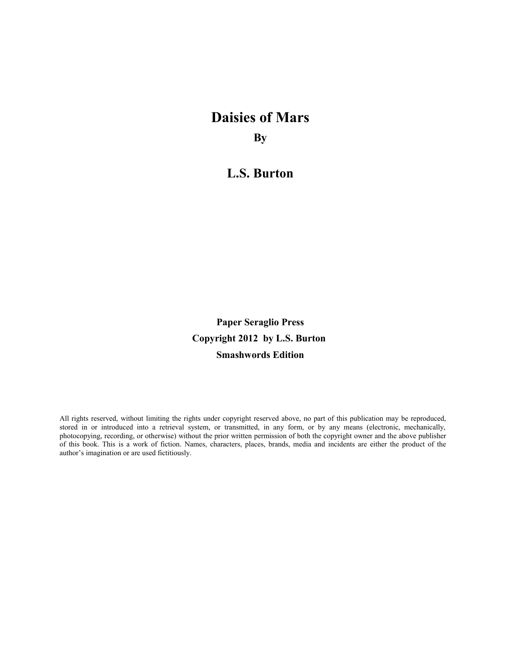# **Daisies of Mars By**

**L.S. Burton**

**Paper Seraglio Press Copyright 2012 by L.S. Burton Smashwords Edition**

All rights reserved, without limiting the rights under copyright reserved above, no part of this publication may be reproduced, stored in or introduced into a retrieval system, or transmitted, in any form, or by any means (electronic, mechanically, photocopying, recording, or otherwise) without the prior written permission of both the copyright owner and the above publisher of this book. This is a work of fiction. Names, characters, places, brands, media and incidents are either the product of the author's imagination or are used fictitiously.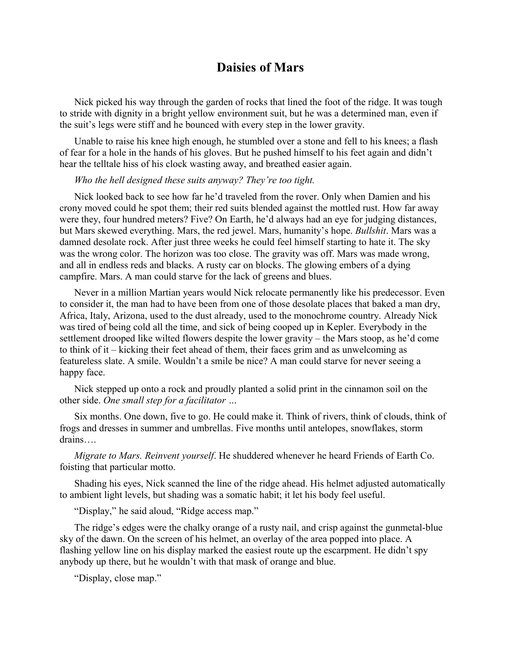## **Daisies of Mars**

Nick picked his way through the garden of rocks that lined the foot of the ridge. It was tough to stride with dignity in a bright yellow environment suit, but he was a determined man, even if the suit's legs were stiff and he bounced with every step in the lower gravity.

Unable to raise his knee high enough, he stumbled over a stone and fell to his knees; a flash of fear for a hole in the hands of his gloves. But he pushed himself to his feet again and didn't hear the telltale hiss of his clock wasting away, and breathed easier again.

#### *Who the hell designed these suits anyway? They're too tight.*

Nick looked back to see how far he'd traveled from the rover. Only when Damien and his crony moved could he spot them; their red suits blended against the mottled rust. How far away were they, four hundred meters? Five? On Earth, he'd always had an eye for judging distances, but Mars skewed everything. Mars, the red jewel. Mars, humanity's hope. *Bullshit*. Mars was a damned desolate rock. After just three weeks he could feel himself starting to hate it. The sky was the wrong color. The horizon was too close. The gravity was off. Mars was made wrong, and all in endless reds and blacks. A rusty car on blocks. The glowing embers of a dying campfire. Mars. A man could starve for the lack of greens and blues.

Never in a million Martian years would Nick relocate permanently like his predecessor. Even to consider it, the man had to have been from one of those desolate places that baked a man dry, Africa, Italy, Arizona, used to the dust already, used to the monochrome country. Already Nick was tired of being cold all the time, and sick of being cooped up in Kepler. Everybody in the settlement drooped like wilted flowers despite the lower gravity – the Mars stoop, as he'd come to think of it – kicking their feet ahead of them, their faces grim and as unwelcoming as featureless slate. A smile. Wouldn't a smile be nice? A man could starve for never seeing a happy face.

Nick stepped up onto a rock and proudly planted a solid print in the cinnamon soil on the other side. *One small step for a facilitator …*

Six months. One down, five to go. He could make it. Think of rivers, think of clouds, think of frogs and dresses in summer and umbrellas. Five months until antelopes, snowflakes, storm drains….

*Migrate to Mars. Reinvent yourself*. He shuddered whenever he heard Friends of Earth Co. foisting that particular motto.

Shading his eyes, Nick scanned the line of the ridge ahead. His helmet adjusted automatically to ambient light levels, but shading was a somatic habit; it let his body feel useful.

"Display," he said aloud, "Ridge access map."

The ridge's edges were the chalky orange of a rusty nail, and crisp against the gunmetal-blue sky of the dawn. On the screen of his helmet, an overlay of the area popped into place. A flashing yellow line on his display marked the easiest route up the escarpment. He didn't spy anybody up there, but he wouldn't with that mask of orange and blue.

"Display, close map."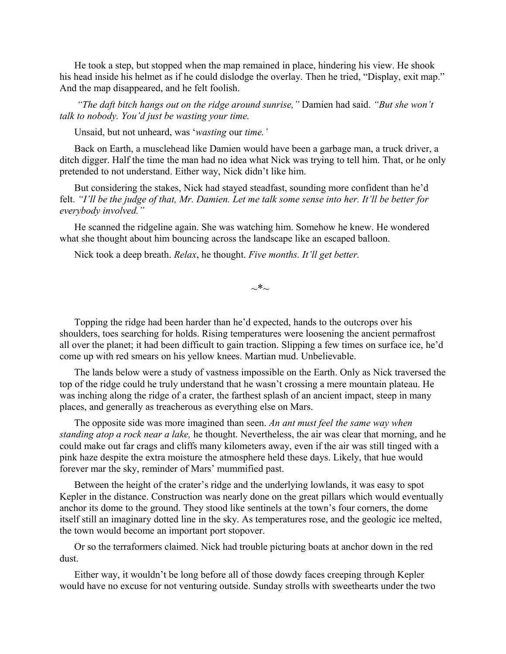He took a step, but stopped when the map remained in place, hindering his view. He shook his head inside his helmet as if he could dislodge the overlay. Then he tried, "Display, exit map." And the map disappeared, and he felt foolish.

 *"The daft bitch hangs out on the ridge around sunrise,"* Damien had said. *"But she won't talk to nobody. You'd just be wasting your time.* 

Unsaid, but not unheard, was '*wasting* our *time.'*

Back on Earth, a musclehead like Damien would have been a garbage man, a truck driver, a ditch digger. Half the time the man had no idea what Nick was trying to tell him. That, or he only pretended to not understand. Either way, Nick didn't like him.

But considering the stakes, Nick had stayed steadfast, sounding more confident than he'd felt. *"I'll be the judge of that, Mr. Damien. Let me talk some sense into her. It'll be better for everybody involved."*

He scanned the ridgeline again. She was watching him. Somehow he knew. He wondered what she thought about him bouncing across the landscape like an escaped balloon.

Nick took a deep breath. *Relax*, he thought. *Five months. It'll get better.*

 $\sim^*$ ~

Topping the ridge had been harder than he'd expected, hands to the outcrops over his shoulders, toes searching for holds. Rising temperatures were loosening the ancient permafrost all over the planet; it had been difficult to gain traction. Slipping a few times on surface ice, he'd come up with red smears on his yellow knees. Martian mud. Unbelievable.

The lands below were a study of vastness impossible on the Earth. Only as Nick traversed the top of the ridge could he truly understand that he wasn't crossing a mere mountain plateau. He was inching along the ridge of a crater, the farthest splash of an ancient impact, steep in many places, and generally as treacherous as everything else on Mars.

The opposite side was more imagined than seen. *An ant must feel the same way when standing atop a rock near a lake,* he thought. Nevertheless, the air was clear that morning, and he could make out far crags and cliffs many kilometers away, even if the air was still tinged with a pink haze despite the extra moisture the atmosphere held these days. Likely, that hue would forever mar the sky, reminder of Mars' mummified past.

Between the height of the crater's ridge and the underlying lowlands, it was easy to spot Kepler in the distance. Construction was nearly done on the great pillars which would eventually anchor its dome to the ground. They stood like sentinels at the town's four corners, the dome itself still an imaginary dotted line in the sky. As temperatures rose, and the geologic ice melted, the town would become an important port stopover.

Or so the terraformers claimed. Nick had trouble picturing boats at anchor down in the red dust.

Either way, it wouldn't be long before all of those dowdy faces creeping through Kepler would have no excuse for not venturing outside. Sunday strolls with sweethearts under the two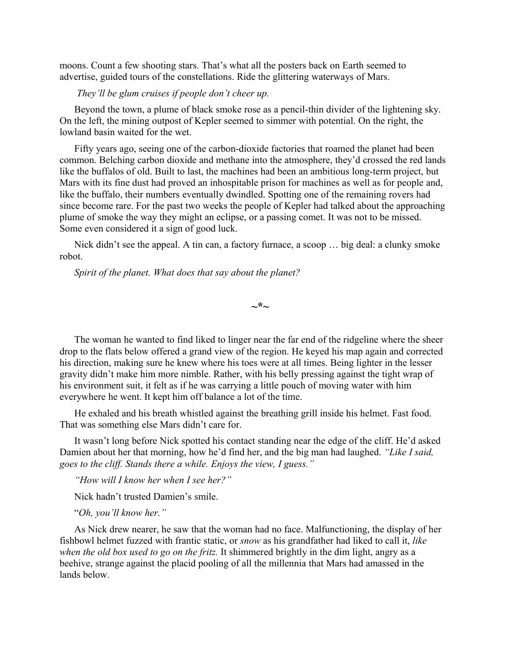moons. Count a few shooting stars. That's what all the posters back on Earth seemed to advertise, guided tours of the constellations. Ride the glittering waterways of Mars.

#### *They'll be glum cruises if people don't cheer up.*

Beyond the town, a plume of black smoke rose as a pencil-thin divider of the lightening sky. On the left, the mining outpost of Kepler seemed to simmer with potential. On the right, the lowland basin waited for the wet.

Fifty years ago, seeing one of the carbon-dioxide factories that roamed the planet had been common. Belching carbon dioxide and methane into the atmosphere, they'd crossed the red lands like the buffalos of old. Built to last, the machines had been an ambitious long-term project, but Mars with its fine dust had proved an inhospitable prison for machines as well as for people and, like the buffalo, their numbers eventually dwindled. Spotting one of the remaining rovers had since become rare. For the past two weeks the people of Kepler had talked about the approaching plume of smoke the way they might an eclipse, or a passing comet. It was not to be missed. Some even considered it a sign of good luck.

Nick didn't see the appeal. A tin can, a factory furnace, a scoop … big deal: a clunky smoke robot.

*Spirit of the planet. What does that say about the planet?*

**~\*~**

The woman he wanted to find liked to linger near the far end of the ridgeline where the sheer drop to the flats below offered a grand view of the region. He keyed his map again and corrected his direction, making sure he knew where his toes were at all times. Being lighter in the lesser gravity didn't make him more nimble. Rather, with his belly pressing against the tight wrap of his environment suit, it felt as if he was carrying a little pouch of moving water with him everywhere he went. It kept him off balance a lot of the time.

He exhaled and his breath whistled against the breathing grill inside his helmet. Fast food. That was something else Mars didn't care for.

It wasn't long before Nick spotted his contact standing near the edge of the cliff. He'd asked Damien about her that morning, how he'd find her, and the big man had laughed. *"Like I said, goes to the cliff. Stands there a while. Enjoys the view, I guess."*

*"How will I know her when I see her?"*

Nick hadn't trusted Damien's smile.

"*Oh, you'll know her."*

As Nick drew nearer, he saw that the woman had no face. Malfunctioning, the display of her fishbowl helmet fuzzed with frantic static, or *snow* as his grandfather had liked to call it, *like when the old box used to go on the fritz.* It shimmered brightly in the dim light, angry as a beehive, strange against the placid pooling of all the millennia that Mars had amassed in the lands below.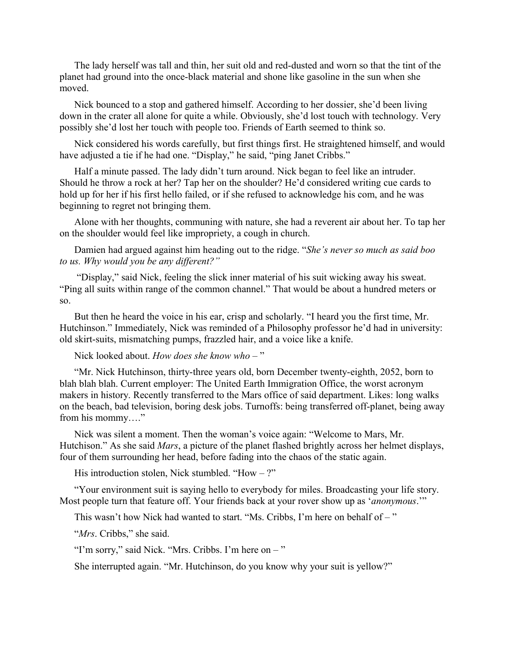The lady herself was tall and thin, her suit old and red-dusted and worn so that the tint of the planet had ground into the once-black material and shone like gasoline in the sun when she moved.

Nick bounced to a stop and gathered himself. According to her dossier, she'd been living down in the crater all alone for quite a while. Obviously, she'd lost touch with technology. Very possibly she'd lost her touch with people too. Friends of Earth seemed to think so.

Nick considered his words carefully, but first things first. He straightened himself, and would have adjusted a tie if he had one. "Display," he said, "ping Janet Cribbs."

Half a minute passed. The lady didn't turn around. Nick began to feel like an intruder. Should he throw a rock at her? Tap her on the shoulder? He'd considered writing cue cards to hold up for her if his first hello failed, or if she refused to acknowledge his com, and he was beginning to regret not bringing them.

Alone with her thoughts, communing with nature, she had a reverent air about her. To tap her on the shoulder would feel like impropriety, a cough in church.

Damien had argued against him heading out to the ridge. "*She's never so much as said boo to us. Why would you be any different?"* 

 "Display," said Nick, feeling the slick inner material of his suit wicking away his sweat. "Ping all suits within range of the common channel." That would be about a hundred meters or so.

But then he heard the voice in his ear, crisp and scholarly. "I heard you the first time, Mr. Hutchinson." Immediately, Nick was reminded of a Philosophy professor he'd had in university: old skirt-suits, mismatching pumps, frazzled hair, and a voice like a knife.

#### Nick looked about. *How does she know who* – "

"Mr. Nick Hutchinson, thirty-three years old, born December twenty-eighth, 2052, born to blah blah blah. Current employer: The United Earth Immigration Office, the worst acronym makers in history. Recently transferred to the Mars office of said department. Likes: long walks on the beach, bad television, boring desk jobs. Turnoffs: being transferred off-planet, being away from his mommy…."

Nick was silent a moment. Then the woman's voice again: "Welcome to Mars, Mr. Hutchison." As she said *Mars*, a picture of the planet flashed brightly across her helmet displays, four of them surrounding her head, before fading into the chaos of the static again.

His introduction stolen, Nick stumbled. "How  $-$  ?"

"Your environment suit is saying hello to everybody for miles. Broadcasting your life story. Most people turn that feature off. Your friends back at your rover show up as '*anonymous*.'"

This wasn't how Nick had wanted to start. "Ms. Cribbs, I'm here on behalf of –"

"*Mrs*. Cribbs," she said.

"I'm sorry," said Nick. "Mrs. Cribbs. I'm here on – "

She interrupted again. "Mr. Hutchinson, do you know why your suit is yellow?"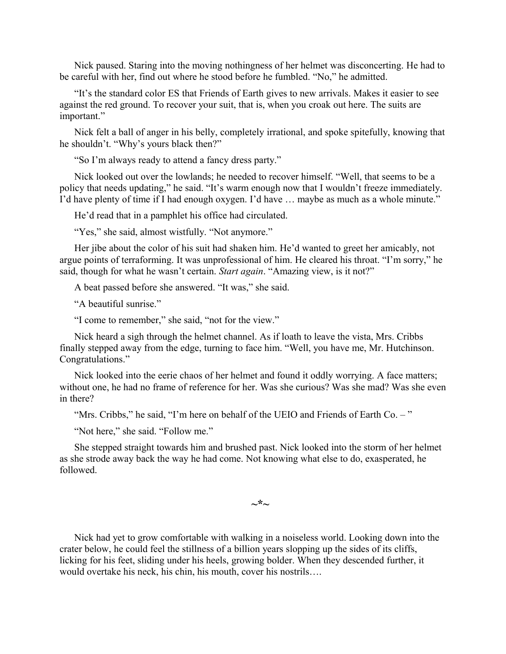Nick paused. Staring into the moving nothingness of her helmet was disconcerting. He had to be careful with her, find out where he stood before he fumbled. "No," he admitted.

"It's the standard color ES that Friends of Earth gives to new arrivals. Makes it easier to see against the red ground. To recover your suit, that is, when you croak out here. The suits are important."

Nick felt a ball of anger in his belly, completely irrational, and spoke spitefully, knowing that he shouldn't. "Why's yours black then?"

"So I'm always ready to attend a fancy dress party."

Nick looked out over the lowlands; he needed to recover himself. "Well, that seems to be a policy that needs updating," he said. "It's warm enough now that I wouldn't freeze immediately. I'd have plenty of time if I had enough oxygen. I'd have … maybe as much as a whole minute."

He'd read that in a pamphlet his office had circulated.

"Yes," she said, almost wistfully. "Not anymore."

Her jibe about the color of his suit had shaken him. He'd wanted to greet her amicably, not argue points of terraforming. It was unprofessional of him. He cleared his throat. "I'm sorry," he said, though for what he wasn't certain. *Start again*. "Amazing view, is it not?"

A beat passed before she answered. "It was," she said.

"A beautiful sunrise."

"I come to remember," she said, "not for the view."

Nick heard a sigh through the helmet channel. As if loath to leave the vista, Mrs. Cribbs finally stepped away from the edge, turning to face him. "Well, you have me, Mr. Hutchinson. Congratulations."

Nick looked into the eerie chaos of her helmet and found it oddly worrying. A face matters; without one, he had no frame of reference for her. Was she curious? Was she mad? Was she even in there?

"Mrs. Cribbs," he said, "I'm here on behalf of the UEIO and Friends of Earth Co. -"

"Not here," she said. "Follow me."

She stepped straight towards him and brushed past. Nick looked into the storm of her helmet as she strode away back the way he had come. Not knowing what else to do, exasperated, he followed.

**~\*~**

Nick had yet to grow comfortable with walking in a noiseless world. Looking down into the crater below, he could feel the stillness of a billion years slopping up the sides of its cliffs, licking for his feet, sliding under his heels, growing bolder. When they descended further, it would overtake his neck, his chin, his mouth, cover his nostrils….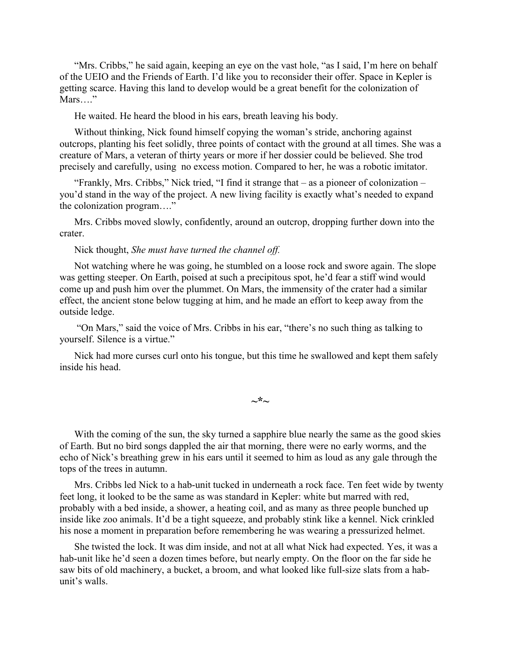"Mrs. Cribbs," he said again, keeping an eye on the vast hole, "as I said, I'm here on behalf of the UEIO and the Friends of Earth. I'd like you to reconsider their offer. Space in Kepler is getting scarce. Having this land to develop would be a great benefit for the colonization of Mars…."

He waited. He heard the blood in his ears, breath leaving his body.

Without thinking, Nick found himself copying the woman's stride, anchoring against outcrops, planting his feet solidly, three points of contact with the ground at all times. She was a creature of Mars, a veteran of thirty years or more if her dossier could be believed. She trod precisely and carefully, using no excess motion. Compared to her, he was a robotic imitator.

"Frankly, Mrs. Cribbs," Nick tried, "I find it strange that – as a pioneer of colonization – you'd stand in the way of the project. A new living facility is exactly what's needed to expand the colonization program…."

Mrs. Cribbs moved slowly, confidently, around an outcrop, dropping further down into the crater.

Nick thought, *She must have turned the channel off.*

Not watching where he was going, he stumbled on a loose rock and swore again. The slope was getting steeper. On Earth, poised at such a precipitous spot, he'd fear a stiff wind would come up and push him over the plummet. On Mars, the immensity of the crater had a similar effect, the ancient stone below tugging at him, and he made an effort to keep away from the outside ledge.

 "On Mars," said the voice of Mrs. Cribbs in his ear, "there's no such thing as talking to yourself. Silence is a virtue."

Nick had more curses curl onto his tongue, but this time he swallowed and kept them safely inside his head.

**~\*~**

With the coming of the sun, the sky turned a sapphire blue nearly the same as the good skies of Earth. But no bird songs dappled the air that morning, there were no early worms, and the echo of Nick's breathing grew in his ears until it seemed to him as loud as any gale through the tops of the trees in autumn.

Mrs. Cribbs led Nick to a hab-unit tucked in underneath a rock face. Ten feet wide by twenty feet long, it looked to be the same as was standard in Kepler: white but marred with red, probably with a bed inside, a shower, a heating coil, and as many as three people bunched up inside like zoo animals. It'd be a tight squeeze, and probably stink like a kennel. Nick crinkled his nose a moment in preparation before remembering he was wearing a pressurized helmet.

She twisted the lock. It was dim inside, and not at all what Nick had expected. Yes, it was a hab-unit like he'd seen a dozen times before, but nearly empty. On the floor on the far side he saw bits of old machinery, a bucket, a broom, and what looked like full-size slats from a habunit's walls.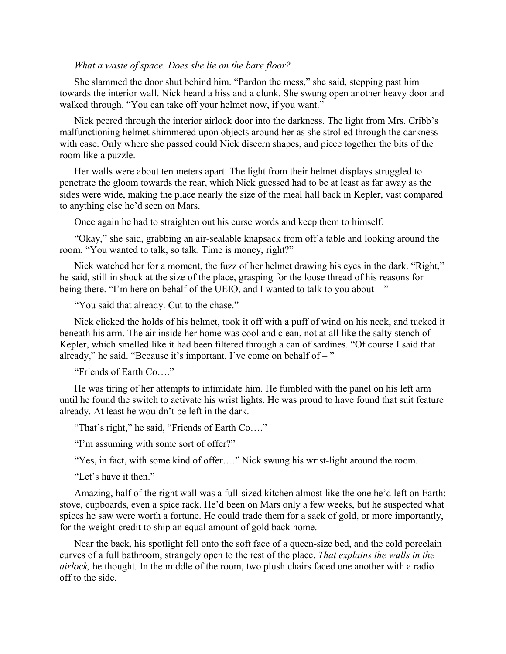#### *What a waste of space. Does she lie on the bare floor?*

She slammed the door shut behind him. "Pardon the mess," she said, stepping past him towards the interior wall. Nick heard a hiss and a clunk. She swung open another heavy door and walked through. "You can take off your helmet now, if you want."

Nick peered through the interior airlock door into the darkness. The light from Mrs. Cribb's malfunctioning helmet shimmered upon objects around her as she strolled through the darkness with ease. Only where she passed could Nick discern shapes, and piece together the bits of the room like a puzzle.

Her walls were about ten meters apart. The light from their helmet displays struggled to penetrate the gloom towards the rear, which Nick guessed had to be at least as far away as the sides were wide, making the place nearly the size of the meal hall back in Kepler, vast compared to anything else he'd seen on Mars.

Once again he had to straighten out his curse words and keep them to himself.

"Okay," she said, grabbing an air-sealable knapsack from off a table and looking around the room. "You wanted to talk, so talk. Time is money, right?"

Nick watched her for a moment, the fuzz of her helmet drawing his eyes in the dark. "Right," he said, still in shock at the size of the place, grasping for the loose thread of his reasons for being there. "I'm here on behalf of the UEIO, and I wanted to talk to you about – "

"You said that already. Cut to the chase."

Nick clicked the holds of his helmet, took it off with a puff of wind on his neck, and tucked it beneath his arm. The air inside her home was cool and clean, not at all like the salty stench of Kepler, which smelled like it had been filtered through a can of sardines. "Of course I said that already," he said. "Because it's important. I've come on behalf of  $-$ "

"Friends of Earth Co…."

He was tiring of her attempts to intimidate him. He fumbled with the panel on his left arm until he found the switch to activate his wrist lights. He was proud to have found that suit feature already. At least he wouldn't be left in the dark.

"That's right," he said, "Friends of Earth Co…."

"I'm assuming with some sort of offer?"

"Yes, in fact, with some kind of offer…." Nick swung his wrist-light around the room.

"Let's have it then."

Amazing, half of the right wall was a full-sized kitchen almost like the one he'd left on Earth: stove, cupboards, even a spice rack. He'd been on Mars only a few weeks, but he suspected what spices he saw were worth a fortune. He could trade them for a sack of gold, or more importantly, for the weight-credit to ship an equal amount of gold back home.

Near the back, his spotlight fell onto the soft face of a queen-size bed, and the cold porcelain curves of a full bathroom, strangely open to the rest of the place. *That explains the walls in the airlock,* he thought*.* In the middle of the room, two plush chairs faced one another with a radio off to the side.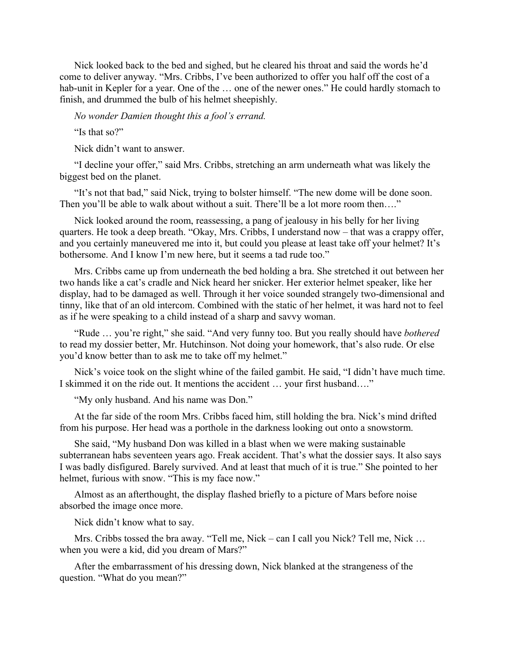Nick looked back to the bed and sighed, but he cleared his throat and said the words he'd come to deliver anyway. "Mrs. Cribbs, I've been authorized to offer you half off the cost of a hab-unit in Kepler for a year. One of the ... one of the newer ones." He could hardly stomach to finish, and drummed the bulb of his helmet sheepishly.

*No wonder Damien thought this a fool's errand.*

"Is that so?"

Nick didn't want to answer.

"I decline your offer," said Mrs. Cribbs, stretching an arm underneath what was likely the biggest bed on the planet.

"It's not that bad," said Nick, trying to bolster himself. "The new dome will be done soon. Then you'll be able to walk about without a suit. There'll be a lot more room then...."

Nick looked around the room, reassessing, a pang of jealousy in his belly for her living quarters. He took a deep breath. "Okay, Mrs. Cribbs, I understand now – that was a crappy offer, and you certainly maneuvered me into it, but could you please at least take off your helmet? It's bothersome. And I know I'm new here, but it seems a tad rude too."

Mrs. Cribbs came up from underneath the bed holding a bra. She stretched it out between her two hands like a cat's cradle and Nick heard her snicker. Her exterior helmet speaker, like her display, had to be damaged as well. Through it her voice sounded strangely two-dimensional and tinny, like that of an old intercom. Combined with the static of her helmet, it was hard not to feel as if he were speaking to a child instead of a sharp and savvy woman.

"Rude … you're right," she said. "And very funny too. But you really should have *bothered* to read my dossier better, Mr. Hutchinson. Not doing your homework, that's also rude. Or else you'd know better than to ask me to take off my helmet."

Nick's voice took on the slight whine of the failed gambit. He said, "I didn't have much time. I skimmed it on the ride out. It mentions the accident … your first husband…."

"My only husband. And his name was Don."

At the far side of the room Mrs. Cribbs faced him, still holding the bra. Nick's mind drifted from his purpose. Her head was a porthole in the darkness looking out onto a snowstorm.

She said, "My husband Don was killed in a blast when we were making sustainable subterranean habs seventeen years ago. Freak accident. That's what the dossier says. It also says I was badly disfigured. Barely survived. And at least that much of it is true." She pointed to her helmet, furious with snow. "This is my face now."

Almost as an afterthought, the display flashed briefly to a picture of Mars before noise absorbed the image once more.

Nick didn't know what to say.

Mrs. Cribbs tossed the bra away. "Tell me, Nick – can I call you Nick? Tell me, Nick … when you were a kid, did you dream of Mars?"

After the embarrassment of his dressing down, Nick blanked at the strangeness of the question. "What do you mean?"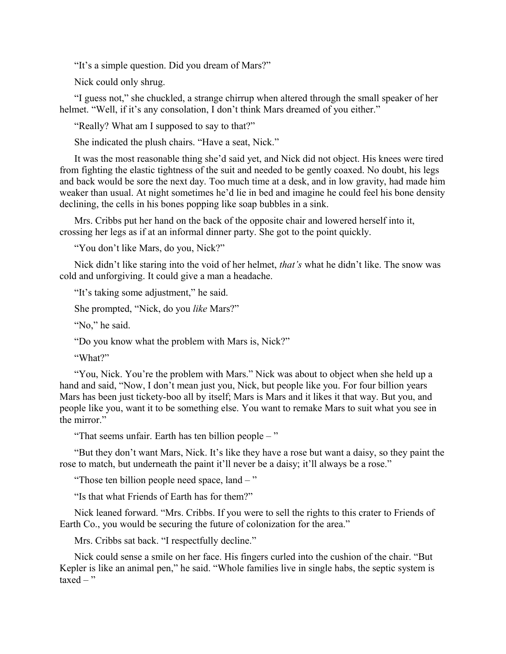"It's a simple question. Did you dream of Mars?"

Nick could only shrug.

"I guess not," she chuckled, a strange chirrup when altered through the small speaker of her helmet. "Well, if it's any consolation, I don't think Mars dreamed of you either."

"Really? What am I supposed to say to that?"

She indicated the plush chairs. "Have a seat, Nick."

It was the most reasonable thing she'd said yet, and Nick did not object. His knees were tired from fighting the elastic tightness of the suit and needed to be gently coaxed. No doubt, his legs and back would be sore the next day. Too much time at a desk, and in low gravity, had made him weaker than usual. At night sometimes he'd lie in bed and imagine he could feel his bone density declining, the cells in his bones popping like soap bubbles in a sink.

Mrs. Cribbs put her hand on the back of the opposite chair and lowered herself into it, crossing her legs as if at an informal dinner party. She got to the point quickly.

"You don't like Mars, do you, Nick?"

Nick didn't like staring into the void of her helmet, *that's* what he didn't like. The snow was cold and unforgiving. It could give a man a headache.

"It's taking some adjustment," he said.

She prompted, "Nick, do you *like* Mars?"

"No," he said.

"Do you know what the problem with Mars is, Nick?"

"What?"

"You, Nick. You're the problem with Mars." Nick was about to object when she held up a hand and said, "Now, I don't mean just you, Nick, but people like you. For four billion years Mars has been just tickety-boo all by itself; Mars is Mars and it likes it that way. But you, and people like you, want it to be something else. You want to remake Mars to suit what you see in the mirror."

"That seems unfair. Earth has ten billion people – "

"But they don't want Mars, Nick. It's like they have a rose but want a daisy, so they paint the rose to match, but underneath the paint it'll never be a daisy; it'll always be a rose."

"Those ten billion people need space, land – "

"Is that what Friends of Earth has for them?"

Nick leaned forward. "Mrs. Cribbs. If you were to sell the rights to this crater to Friends of Earth Co., you would be securing the future of colonization for the area."

Mrs. Cribbs sat back. "I respectfully decline."

Nick could sense a smile on her face. His fingers curled into the cushion of the chair. "But Kepler is like an animal pen," he said. "Whole families live in single habs, the septic system is  $taxed - "$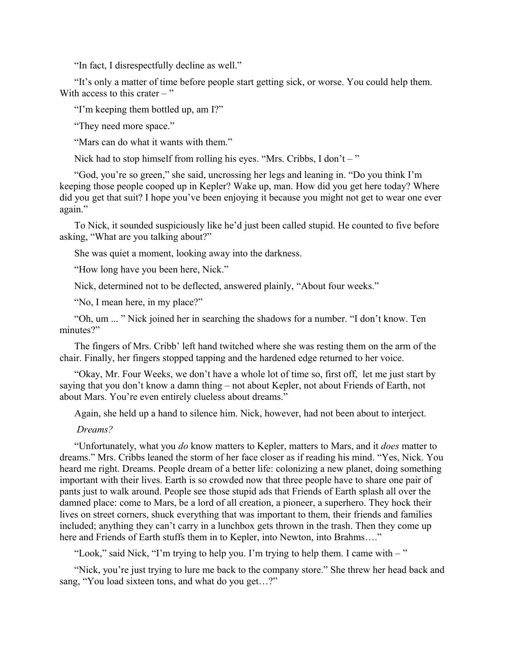"In fact, I disrespectfully decline as well."

"It's only a matter of time before people start getting sick, or worse. You could help them. With access to this crater  $-$  "

"I'm keeping them bottled up, am I?"

"They need more space."

"Mars can do what it wants with them."

Nick had to stop himself from rolling his eyes. "Mrs. Cribbs, I don't – "

"God, you're so green," she said, uncrossing her legs and leaning in. "Do you think I'm keeping those people cooped up in Kepler? Wake up, man. How did you get here today? Where did you get that suit? I hope you've been enjoying it because you might not get to wear one ever again."

To Nick, it sounded suspiciously like he'd just been called stupid. He counted to five before asking, "What are you talking about?"

She was quiet a moment, looking away into the darkness.

"How long have you been here, Nick."

Nick, determined not to be deflected, answered plainly, "About four weeks."

"No, I mean here, in my place?"

"Oh, um ... " Nick joined her in searching the shadows for a number. "I don't know. Ten minutes?"

The fingers of Mrs. Cribb' left hand twitched where she was resting them on the arm of the chair. Finally, her fingers stopped tapping and the hardened edge returned to her voice.

"Okay, Mr. Four Weeks, we don't have a whole lot of time so, first off, let me just start by saying that you don't know a damn thing – not about Kepler, not about Friends of Earth, not about Mars. You're even entirely clueless about dreams."

Again, she held up a hand to silence him. Nick, however, had not been about to interject.

#### *Dreams?*

"Unfortunately, what you *do* know matters to Kepler, matters to Mars, and it *does* matter to dreams." Mrs. Cribbs leaned the storm of her face closer as if reading his mind. "Yes, Nick. You heard me right. Dreams. People dream of a better life: colonizing a new planet, doing something important with their lives. Earth is so crowded now that three people have to share one pair of pants just to walk around. People see those stupid ads that Friends of Earth splash all over the damned place: come to Mars, be a lord of all creation, a pioneer, a superhero. They hock their lives on street corners, shuck everything that was important to them, their friends and families included; anything they can't carry in a lunchbox gets thrown in the trash. Then they come up here and Friends of Earth stuffs them in to Kepler, into Newton, into Brahms...."

"Look," said Nick, "I'm trying to help you. I'm trying to help them. I came with – "

"Nick, you're just trying to lure me back to the company store." She threw her head back and sang, "You load sixteen tons, and what do you get...?"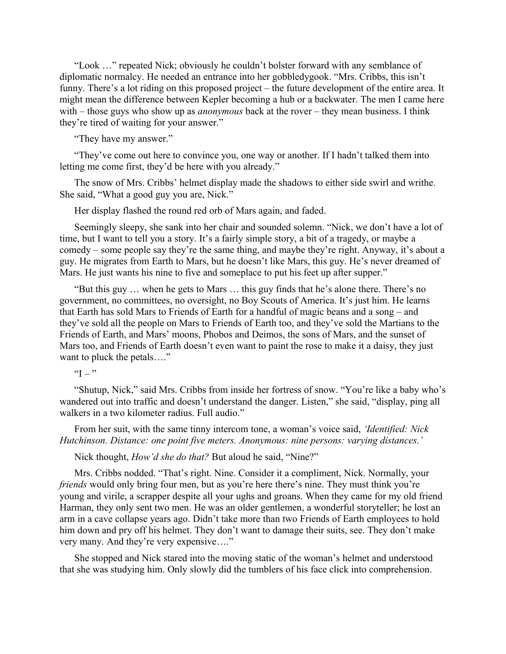"Look …" repeated Nick; obviously he couldn't bolster forward with any semblance of diplomatic normalcy. He needed an entrance into her gobbledygook. "Mrs. Cribbs, this isn't funny. There's a lot riding on this proposed project – the future development of the entire area. It might mean the difference between Kepler becoming a hub or a backwater. The men I came here with – those guys who show up as *anonymous* back at the rover – they mean business. I think they're tired of waiting for your answer."

"They have my answer."

"They've come out here to convince you, one way or another. If I hadn't talked them into letting me come first, they'd be here with you already."

The snow of Mrs. Cribbs' helmet display made the shadows to either side swirl and writhe. She said, "What a good guy you are, Nick."

Her display flashed the round red orb of Mars again, and faded.

Seemingly sleepy, she sank into her chair and sounded solemn. "Nick, we don't have a lot of time, but I want to tell you a story. It's a fairly simple story, a bit of a tragedy, or maybe a comedy – some people say they're the same thing, and maybe they're right. Anyway, it's about a guy. He migrates from Earth to Mars, but he doesn't like Mars, this guy. He's never dreamed of Mars. He just wants his nine to five and someplace to put his feet up after supper."

"But this guy … when he gets to Mars … this guy finds that he's alone there. There's no government, no committees, no oversight, no Boy Scouts of America. It's just him. He learns that Earth has sold Mars to Friends of Earth for a handful of magic beans and a song – and they've sold all the people on Mars to Friends of Earth too, and they've sold the Martians to the Friends of Earth, and Mars' moons, Phobos and Deimos, the sons of Mars, and the sunset of Mars too, and Friends of Earth doesn't even want to paint the rose to make it a daisy, they just want to pluck the petals…."

" $I -$ "

"Shutup, Nick," said Mrs. Cribbs from inside her fortress of snow. "You're like a baby who's wandered out into traffic and doesn't understand the danger. Listen," she said, "display, ping all walkers in a two kilometer radius. Full audio."

From her suit, with the same tinny intercom tone, a woman's voice said, *'Identified: Nick Hutchinson. Distance: one point five meters. Anonymous: nine persons: varying distances.'*

Nick thought, *How'd she do that?* But aloud he said, "Nine?"

Mrs. Cribbs nodded. "That's right. Nine. Consider it a compliment, Nick. Normally, your *friends* would only bring four men, but as you're here there's nine. They must think you're young and virile, a scrapper despite all your ughs and groans. When they came for my old friend Harman, they only sent two men. He was an older gentlemen, a wonderful storyteller; he lost an arm in a cave collapse years ago. Didn't take more than two Friends of Earth employees to hold him down and pry off his helmet. They don't want to damage their suits, see. They don't make very many. And they're very expensive…."

She stopped and Nick stared into the moving static of the woman's helmet and understood that she was studying him. Only slowly did the tumblers of his face click into comprehension.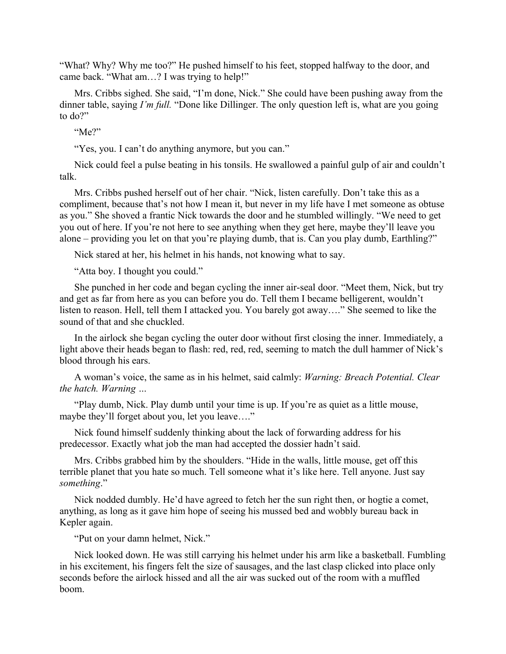"What? Why? Why me too?" He pushed himself to his feet, stopped halfway to the door, and came back. "What am…? I was trying to help!"

Mrs. Cribbs sighed. She said, "I'm done, Nick." She could have been pushing away from the dinner table, saying *I'm full.* "Done like Dillinger. The only question left is, what are you going to do?"

"Me?"

"Yes, you. I can't do anything anymore, but you can."

Nick could feel a pulse beating in his tonsils. He swallowed a painful gulp of air and couldn't talk.

Mrs. Cribbs pushed herself out of her chair. "Nick, listen carefully. Don't take this as a compliment, because that's not how I mean it, but never in my life have I met someone as obtuse as you." She shoved a frantic Nick towards the door and he stumbled willingly. "We need to get you out of here. If you're not here to see anything when they get here, maybe they'll leave you alone – providing you let on that you're playing dumb, that is. Can you play dumb, Earthling?"

Nick stared at her, his helmet in his hands, not knowing what to say.

"Atta boy. I thought you could."

She punched in her code and began cycling the inner air-seal door. "Meet them, Nick, but try and get as far from here as you can before you do. Tell them I became belligerent, wouldn't listen to reason. Hell, tell them I attacked you. You barely got away…." She seemed to like the sound of that and she chuckled.

In the airlock she began cycling the outer door without first closing the inner. Immediately, a light above their heads began to flash: red, red, red, seeming to match the dull hammer of Nick's blood through his ears.

A woman's voice, the same as in his helmet, said calmly: *Warning: Breach Potential. Clear the hatch. Warning …* 

"Play dumb, Nick. Play dumb until your time is up. If you're as quiet as a little mouse, maybe they'll forget about you, let you leave…."

Nick found himself suddenly thinking about the lack of forwarding address for his predecessor. Exactly what job the man had accepted the dossier hadn't said.

Mrs. Cribbs grabbed him by the shoulders. "Hide in the walls, little mouse, get off this terrible planet that you hate so much. Tell someone what it's like here. Tell anyone. Just say *something*."

Nick nodded dumbly. He'd have agreed to fetch her the sun right then, or hogtie a comet, anything, as long as it gave him hope of seeing his mussed bed and wobbly bureau back in Kepler again.

"Put on your damn helmet, Nick."

Nick looked down. He was still carrying his helmet under his arm like a basketball. Fumbling in his excitement, his fingers felt the size of sausages, and the last clasp clicked into place only seconds before the airlock hissed and all the air was sucked out of the room with a muffled boom.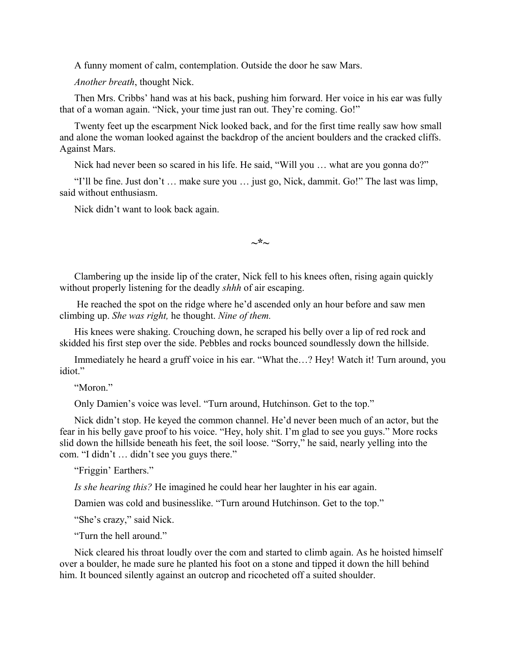A funny moment of calm, contemplation. Outside the door he saw Mars.

*Another breath*, thought Nick.

Then Mrs. Cribbs' hand was at his back, pushing him forward. Her voice in his ear was fully that of a woman again. "Nick, your time just ran out. They're coming. Go!"

Twenty feet up the escarpment Nick looked back, and for the first time really saw how small and alone the woman looked against the backdrop of the ancient boulders and the cracked cliffs. Against Mars.

Nick had never been so scared in his life. He said, "Will you ... what are you gonna do?"

"I'll be fine. Just don't … make sure you … just go, Nick, dammit. Go!" The last was limp, said without enthusiasm.

Nick didn't want to look back again.

**~\*~**

Clambering up the inside lip of the crater, Nick fell to his knees often, rising again quickly without properly listening for the deadly *shhh* of air escaping.

 He reached the spot on the ridge where he'd ascended only an hour before and saw men climbing up. *She was right,* he thought. *Nine of them.* 

His knees were shaking. Crouching down, he scraped his belly over a lip of red rock and skidded his first step over the side. Pebbles and rocks bounced soundlessly down the hillside.

Immediately he heard a gruff voice in his ear. "What the…? Hey! Watch it! Turn around, you idiot."

"Moron."

Only Damien's voice was level. "Turn around, Hutchinson. Get to the top."

Nick didn't stop. He keyed the common channel. He'd never been much of an actor, but the fear in his belly gave proof to his voice. "Hey, holy shit. I'm glad to see you guys." More rocks slid down the hillside beneath his feet, the soil loose. "Sorry," he said, nearly yelling into the com. "I didn't … didn't see you guys there."

"Friggin' Earthers."

*Is she hearing this?* He imagined he could hear her laughter in his ear again.

Damien was cold and businesslike. "Turn around Hutchinson. Get to the top."

"She's crazy," said Nick.

"Turn the hell around."

Nick cleared his throat loudly over the com and started to climb again. As he hoisted himself over a boulder, he made sure he planted his foot on a stone and tipped it down the hill behind him. It bounced silently against an outcrop and ricocheted off a suited shoulder.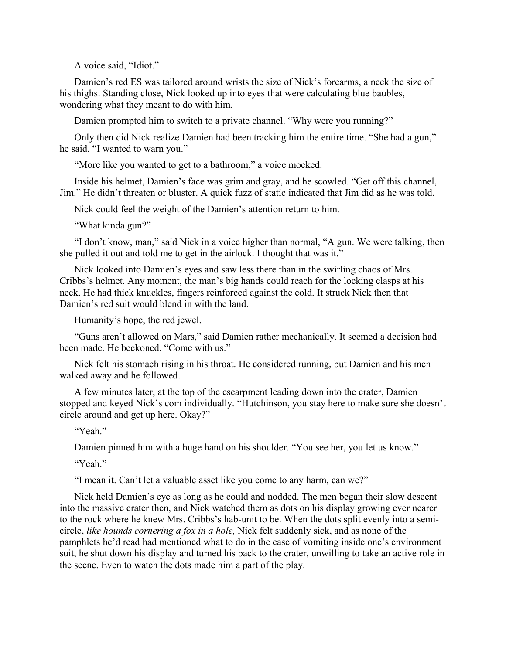A voice said, "Idiot."

Damien's red ES was tailored around wrists the size of Nick's forearms, a neck the size of his thighs. Standing close, Nick looked up into eyes that were calculating blue baubles, wondering what they meant to do with him.

Damien prompted him to switch to a private channel. "Why were you running?"

Only then did Nick realize Damien had been tracking him the entire time. "She had a gun," he said. "I wanted to warn you."

"More like you wanted to get to a bathroom," a voice mocked.

Inside his helmet, Damien's face was grim and gray, and he scowled. "Get off this channel, Jim." He didn't threaten or bluster. A quick fuzz of static indicated that Jim did as he was told.

Nick could feel the weight of the Damien's attention return to him.

"What kinda gun?"

"I don't know, man," said Nick in a voice higher than normal, "A gun. We were talking, then she pulled it out and told me to get in the airlock. I thought that was it."

Nick looked into Damien's eyes and saw less there than in the swirling chaos of Mrs. Cribbs's helmet. Any moment, the man's big hands could reach for the locking clasps at his neck. He had thick knuckles, fingers reinforced against the cold. It struck Nick then that Damien's red suit would blend in with the land.

Humanity's hope, the red jewel.

"Guns aren't allowed on Mars," said Damien rather mechanically. It seemed a decision had been made. He beckoned. "Come with us."

Nick felt his stomach rising in his throat. He considered running, but Damien and his men walked away and he followed.

A few minutes later, at the top of the escarpment leading down into the crater, Damien stopped and keyed Nick's com individually. "Hutchinson, you stay here to make sure she doesn't circle around and get up here. Okay?"

"Yeah"

Damien pinned him with a huge hand on his shoulder. "You see her, you let us know."

"Yeah."

"I mean it. Can't let a valuable asset like you come to any harm, can we?"

Nick held Damien's eye as long as he could and nodded. The men began their slow descent into the massive crater then, and Nick watched them as dots on his display growing ever nearer to the rock where he knew Mrs. Cribbs's hab-unit to be. When the dots split evenly into a semicircle, *like hounds cornering a fox in a hole,* Nick felt suddenly sick, and as none of the pamphlets he'd read had mentioned what to do in the case of vomiting inside one's environment suit, he shut down his display and turned his back to the crater, unwilling to take an active role in the scene. Even to watch the dots made him a part of the play.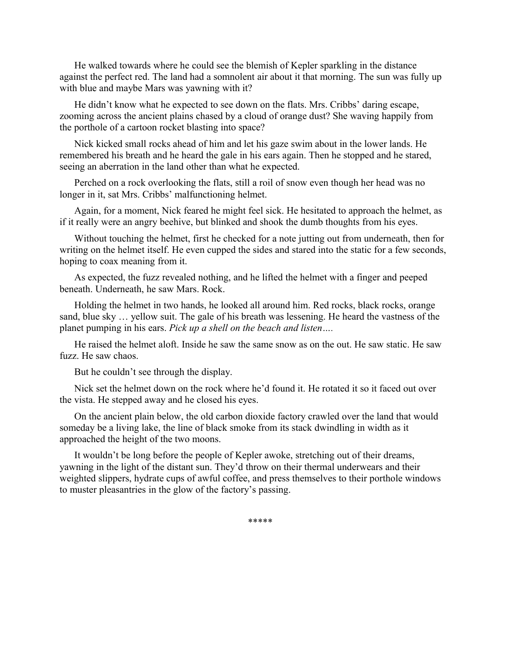He walked towards where he could see the blemish of Kepler sparkling in the distance against the perfect red. The land had a somnolent air about it that morning. The sun was fully up with blue and maybe Mars was yawning with it?

He didn't know what he expected to see down on the flats. Mrs. Cribbs' daring escape, zooming across the ancient plains chased by a cloud of orange dust? She waving happily from the porthole of a cartoon rocket blasting into space?

Nick kicked small rocks ahead of him and let his gaze swim about in the lower lands. He remembered his breath and he heard the gale in his ears again. Then he stopped and he stared, seeing an aberration in the land other than what he expected.

Perched on a rock overlooking the flats, still a roil of snow even though her head was no longer in it, sat Mrs. Cribbs' malfunctioning helmet.

Again, for a moment, Nick feared he might feel sick. He hesitated to approach the helmet, as if it really were an angry beehive, but blinked and shook the dumb thoughts from his eyes.

Without touching the helmet, first he checked for a note jutting out from underneath, then for writing on the helmet itself. He even cupped the sides and stared into the static for a few seconds, hoping to coax meaning from it.

As expected, the fuzz revealed nothing, and he lifted the helmet with a finger and peeped beneath. Underneath, he saw Mars. Rock.

Holding the helmet in two hands, he looked all around him. Red rocks, black rocks, orange sand, blue sky … yellow suit. The gale of his breath was lessening. He heard the vastness of the planet pumping in his ears. *Pick up a shell on the beach and listen….*

He raised the helmet aloft. Inside he saw the same snow as on the out. He saw static. He saw fuzz. He saw chaos.

But he couldn't see through the display.

Nick set the helmet down on the rock where he'd found it. He rotated it so it faced out over the vista. He stepped away and he closed his eyes.

On the ancient plain below, the old carbon dioxide factory crawled over the land that would someday be a living lake, the line of black smoke from its stack dwindling in width as it approached the height of the two moons.

It wouldn't be long before the people of Kepler awoke, stretching out of their dreams, yawning in the light of the distant sun. They'd throw on their thermal underwears and their weighted slippers, hydrate cups of awful coffee, and press themselves to their porthole windows to muster pleasantries in the glow of the factory's passing.

\*\*\*\*\*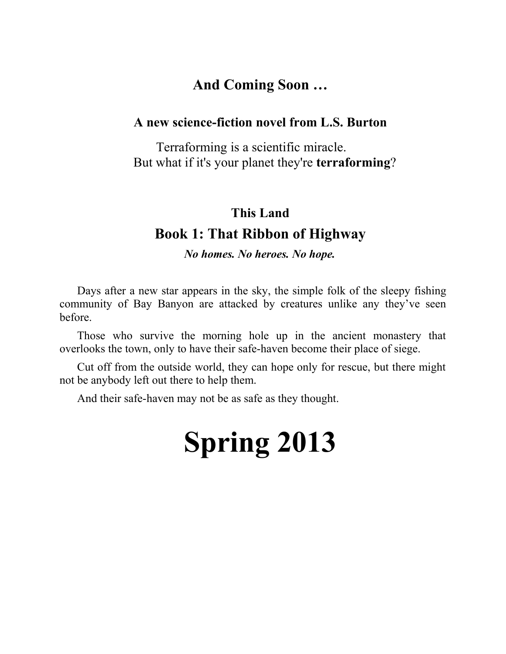# **And Coming Soon …**

## **A new science-fiction novel from L.S. Burton**

Terraforming is a scientific miracle. But what if it's your planet they're **terraforming**?

## **This Land**

# **Book 1: That Ribbon of Highway**

*No homes. No heroes. No hope.*

Days after a new star appears in the sky, the simple folk of the sleepy fishing community of Bay Banyon are attacked by creatures unlike any they've seen before.

Those who survive the morning hole up in the ancient monastery that overlooks the town, only to have their safe-haven become their place of siege.

Cut off from the outside world, they can hope only for rescue, but there might not be anybody left out there to help them.

And their safe-haven may not be as safe as they thought.

# **Spring 2013**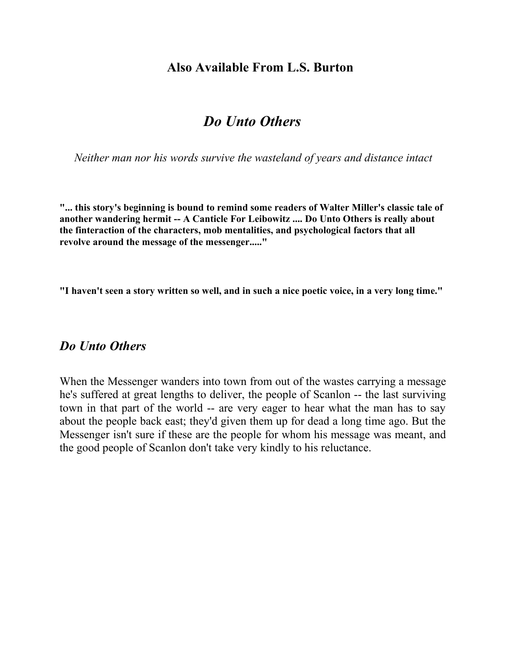## **Also Available From L.S. Burton**

## *Do Unto Others*

*Neither man nor his words survive the wasteland of years and distance intact*

**"... this story's beginning is bound to remind some readers of Walter Miller's classic tale of another wandering hermit -- A Canticle For Leibowitz .... Do Unto Others is really about the finteraction of the characters, mob mentalities, and psychological factors that all revolve around the message of the messenger....."** 

**"I haven't seen a story written so well, and in such a nice poetic voice, in a very long time."**

### *Do Unto Others*

When the Messenger wanders into town from out of the wastes carrying a message he's suffered at great lengths to deliver, the people of Scanlon -- the last surviving town in that part of the world -- are very eager to hear what the man has to say about the people back east; they'd given them up for dead a long time ago. But the Messenger isn't sure if these are the people for whom his message was meant, and the good people of Scanlon don't take very kindly to his reluctance.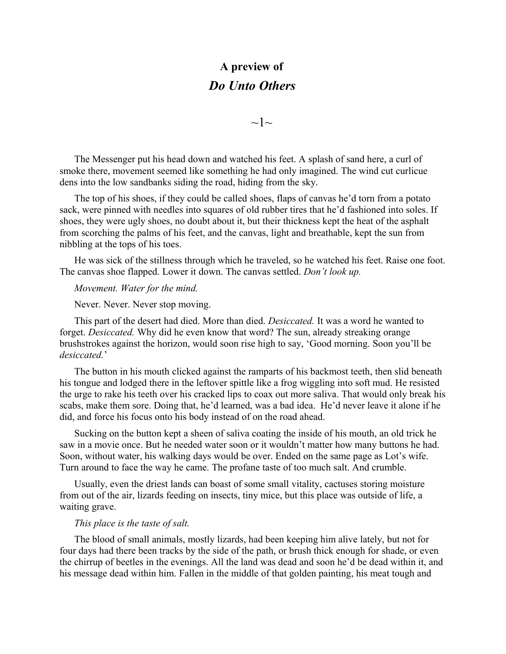# **A preview of** *Do Unto Others*

 $\sim1$ ~

The Messenger put his head down and watched his feet. A splash of sand here, a curl of smoke there, movement seemed like something he had only imagined. The wind cut curlicue dens into the low sandbanks siding the road, hiding from the sky.

The top of his shoes, if they could be called shoes, flaps of canvas he'd torn from a potato sack, were pinned with needles into squares of old rubber tires that he'd fashioned into soles. If shoes, they were ugly shoes, no doubt about it, but their thickness kept the heat of the asphalt from scorching the palms of his feet, and the canvas, light and breathable, kept the sun from nibbling at the tops of his toes.

He was sick of the stillness through which he traveled, so he watched his feet. Raise one foot. The canvas shoe flapped. Lower it down. The canvas settled. *Don't look up.*

*Movement. Water for the mind.*

Never. Never. Never stop moving.

This part of the desert had died. More than died. *Desiccated.* It was a word he wanted to forget. *Desiccated.* Why did he even know that word? The sun, already streaking orange brushstrokes against the horizon, would soon rise high to say, 'Good morning. Soon you'll be *desiccated.*'

The button in his mouth clicked against the ramparts of his backmost teeth, then slid beneath his tongue and lodged there in the leftover spittle like a frog wiggling into soft mud. He resisted the urge to rake his teeth over his cracked lips to coax out more saliva. That would only break his scabs, make them sore. Doing that, he'd learned, was a bad idea. He'd never leave it alone if he did, and force his focus onto his body instead of on the road ahead.

Sucking on the button kept a sheen of saliva coating the inside of his mouth, an old trick he saw in a movie once. But he needed water soon or it wouldn't matter how many buttons he had. Soon, without water, his walking days would be over. Ended on the same page as Lot's wife. Turn around to face the way he came. The profane taste of too much salt. And crumble.

Usually, even the driest lands can boast of some small vitality, cactuses storing moisture from out of the air, lizards feeding on insects, tiny mice, but this place was outside of life, a waiting grave.

#### *This place is the taste of salt.*

The blood of small animals, mostly lizards, had been keeping him alive lately, but not for four days had there been tracks by the side of the path, or brush thick enough for shade, or even the chirrup of beetles in the evenings. All the land was dead and soon he'd be dead within it, and his message dead within him. Fallen in the middle of that golden painting, his meat tough and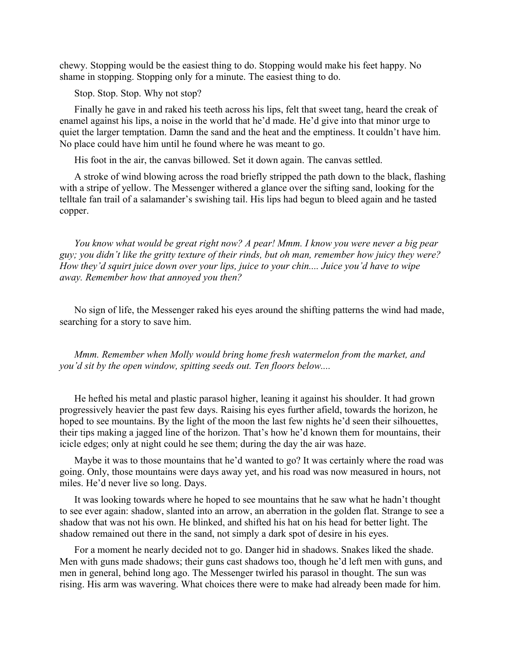chewy. Stopping would be the easiest thing to do. Stopping would make his feet happy. No shame in stopping. Stopping only for a minute. The easiest thing to do.

Stop. Stop. Stop. Why not stop?

Finally he gave in and raked his teeth across his lips, felt that sweet tang, heard the creak of enamel against his lips, a noise in the world that he'd made. He'd give into that minor urge to quiet the larger temptation. Damn the sand and the heat and the emptiness. It couldn't have him. No place could have him until he found where he was meant to go.

His foot in the air, the canvas billowed. Set it down again. The canvas settled.

A stroke of wind blowing across the road briefly stripped the path down to the black, flashing with a stripe of yellow. The Messenger withered a glance over the sifting sand, looking for the telltale fan trail of a salamander's swishing tail. His lips had begun to bleed again and he tasted copper.

*You know what would be great right now? A pear! Mmm. I know you were never a big pear guy; you didn't like the gritty texture of their rinds, but oh man, remember how juicy they were? How they'd squirt juice down over your lips, juice to your chin.... Juice you'd have to wipe away. Remember how that annoyed you then?*

No sign of life, the Messenger raked his eyes around the shifting patterns the wind had made, searching for a story to save him.

*Mmm. Remember when Molly would bring home fresh watermelon from the market, and you'd sit by the open window, spitting seeds out. Ten floors below....*

He hefted his metal and plastic parasol higher, leaning it against his shoulder. It had grown progressively heavier the past few days. Raising his eyes further afield, towards the horizon, he hoped to see mountains. By the light of the moon the last few nights he'd seen their silhouettes, their tips making a jagged line of the horizon. That's how he'd known them for mountains, their icicle edges; only at night could he see them; during the day the air was haze.

Maybe it was to those mountains that he'd wanted to go? It was certainly where the road was going. Only, those mountains were days away yet, and his road was now measured in hours, not miles. He'd never live so long. Days.

It was looking towards where he hoped to see mountains that he saw what he hadn't thought to see ever again: shadow, slanted into an arrow, an aberration in the golden flat. Strange to see a shadow that was not his own. He blinked, and shifted his hat on his head for better light. The shadow remained out there in the sand, not simply a dark spot of desire in his eyes.

For a moment he nearly decided not to go. Danger hid in shadows. Snakes liked the shade. Men with guns made shadows; their guns cast shadows too, though he'd left men with guns, and men in general, behind long ago. The Messenger twirled his parasol in thought. The sun was rising. His arm was wavering. What choices there were to make had already been made for him.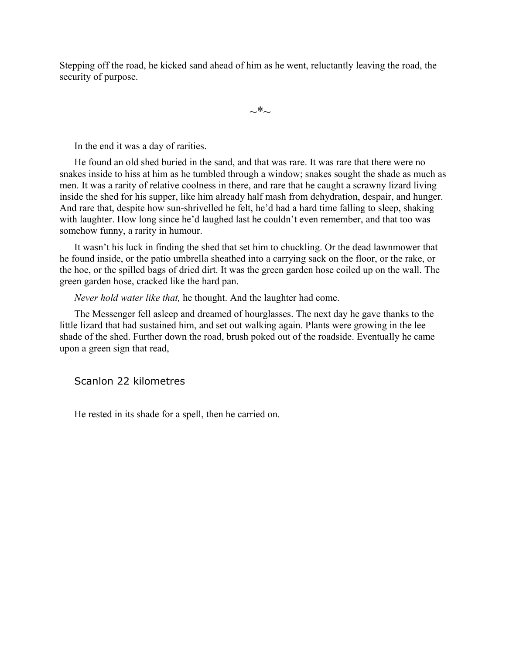Stepping off the road, he kicked sand ahead of him as he went, reluctantly leaving the road, the security of purpose.

 $\sim^*$ 

In the end it was a day of rarities.

He found an old shed buried in the sand, and that was rare. It was rare that there were no snakes inside to hiss at him as he tumbled through a window; snakes sought the shade as much as men. It was a rarity of relative coolness in there, and rare that he caught a scrawny lizard living inside the shed for his supper, like him already half mash from dehydration, despair, and hunger. And rare that, despite how sun-shrivelled he felt, he'd had a hard time falling to sleep, shaking with laughter. How long since he'd laughed last he couldn't even remember, and that too was somehow funny, a rarity in humour.

It wasn't his luck in finding the shed that set him to chuckling. Or the dead lawnmower that he found inside, or the patio umbrella sheathed into a carrying sack on the floor, or the rake, or the hoe, or the spilled bags of dried dirt. It was the green garden hose coiled up on the wall. The green garden hose, cracked like the hard pan.

*Never hold water like that,* he thought. And the laughter had come.

The Messenger fell asleep and dreamed of hourglasses. The next day he gave thanks to the little lizard that had sustained him, and set out walking again. Plants were growing in the lee shade of the shed. Further down the road, brush poked out of the roadside. Eventually he came upon a green sign that read,

Scanlon 22 kilometres

He rested in its shade for a spell, then he carried on.